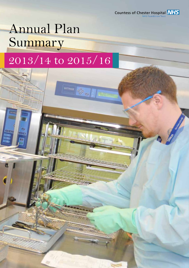Countess of Chester Hospital **NHS** 

# Annual Plan Summary

 $\mathbf{r}$ **DI** 

## 2013/14 to 2015/16

artimor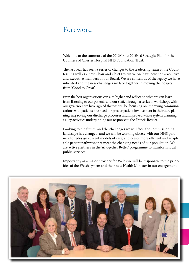## Foreword

Welcome to the summary of the 2013/14 to 2015/16 Strategic Plan for the Countess of Chester Hospital NHS Foundation Trust.

The last year has seen a series of changes to the leadership team at the Countess. As well as a new Chair and Chief Executive, we have new non-executive and executive members of our Board. We are conscious of the legacy we have inherited and the new challenges we face together in moving the hospital from 'Good to Great'.

Even the best organisations can aim higher and reflect on what we can learn from listening to our patients and our staff. Through a series of workshops with our governors we have agreed that we will be focussing on improving communications with patients, the need for greater patient involvement in their care planning, improving our discharge processes and improved whole system planning, as key activities underpinning our response to the Francis Report.

Looking to the future, and the challenges we will face, the commissioning landscape has changed, and we will be working closely with our NHS partners to redesign current models of care, and create more efficient and adaptable patient pathways that meet the changing needs of our population. We are active partners in the 'Altogether Better' programme to transform local public services.

Importantly as a major provider for Wales we will be responsive to the priorities of the Welsh system and their new Health Minister in our engagement

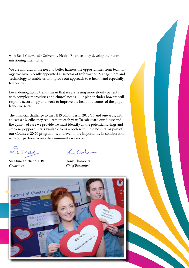with Betsi Cadwaladr University Health Board as they develop their commissioning intentions.

We are mindful of the need to better harness the opportunities from technology. We have recently appointed a Director of Information Management and Technology to enable us to improve our approach to e-health and especially telehealth.

Local demographic trends mean that we are seeing more elderly patients with complex morbidities and clinical needs. Our plan includes how we will respond accordingly and work to improve the health outcomes of the population we serve.

The financial challenge to the NHS continues in 2013/14 and onwards, with at least a 4% efficiency requirement each year. To safeguard our future and the quality of care we provide we must identify all the potential savings and efficiency opportunities available to us – both within the hospital as part of our Countess 20:20 programme, and even more importantly in collaboration with our partners across the community we serve.

La Mehot

Sir Duncan Nichol CBE Tony Chambers *Chairman Chief Executive*

Lyculu

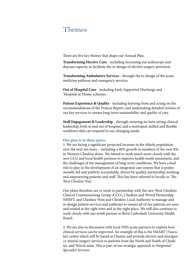### Themes

There are five key themes that shape our Annual Plan.

**Transforming Elective Care** - including increasing our endoscopy and daycase capacity to facilitate the re-design of elective surgery provision.

**Transforming Ambulatory Services** - through the re-design of the acute medicine pathway and emergency services.

**Out of Hospital Care** - including Early Supported Discharge and 'Hospital-at-Home' schemes.

**Patient Experience & Quality** - including learning from and acting on the recommendations of the Francis Report, and undertaking detailed reviews of our key services to ensure long-term sustainability and quality of care.

**Staff Engagement & Leadership** - through ensuring we have strong clinical leadership, both in and out of hospital, and a motivated, skilled and flexible workforce that can respond to our changing needs.

#### **Our plan is in three parts:**

1. We are facing a significant projected increase in the elderly population over the next ten years – including a 40% growth in numbers of the over 85s in Western Cheshire alone. We intend to work much more closely with the new CCG and local health partners to improve health needs assessment, and the challenges of the management of long-term conditions. We have a lead role to play in the development of an integrated care system that is professionally led and publicly accountable, driven by quality, partnership working and empowering patients and staff. This has been referred to locally as *'The West Cheshire Way'.*

Our plans therefore are to work in partnership with the new West Cheshire Clinical Commissioning Group (CCG), Cheshire and Wirral Partnership NHSFT, and Cheshire West and Cheshire Local Authority to manage and re-design patient services and pathways to ensure all of our patients are seen and treated at the right time and in the right place. We will also continue to work closely with our welsh partner in Betsi Cadwaladr University Health Board.

2. We are also in discussion with local NHS acute partners to explore how clinical services can be improved. An example of this is the SMART (Vascular) centre which will be based at Chester and provide elective and emergency arterial surgery services to patients from the North and South of Cheshire, and Wirral areas. This is part of our strategic approach to *Integrated Specialist Services.*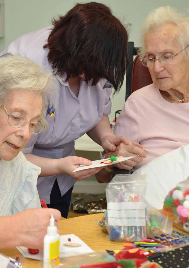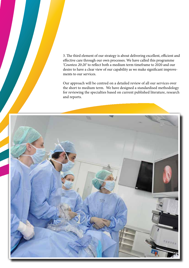3. The third element of our strategy is about delivering excellent, efficient and effective care through our own processes. We have called this programme *'Countess 20:20'* to reflect both a medium term timeframe to 2020 and our desire to have a clear view of our capability as we make significant improvements to our services.

Our approach will be centred on a detailed review of all our services over the short to medium term. We have designed a standardised methodology for reviewing the specialties based on current published literature, research and reports.

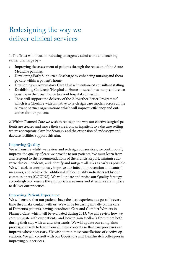## Redesigning the way we deliver clinical services

1. The Trust will focus on reducing emergency admissions and enabling earlier discharge by –

- Improving the assessment of patients through the redesign of the Acute Medicine pathway.
- • Developing Early Supported Discharge by enhancing nursing and therapy care within a patient's home.
- Developing an Ambulatory Care Unit with enhanced consultant staffing.
- Establishing Children's 'Hospital at Home' to care for as many children as possible in their own home to avoid hospital admission.
- These will support the delivery of the 'Altogether Better Programme' which is a Cheshire wide initiative to re-design care models across all the relevant partner organisations which will improve efficiency and outcomes for our patients.

2. Within Planned Care we wish to redesign the way our elective surgical patients are treated and move their care from an inpatient to a daycase setting where appropriate. Our Site Strategy and the expansion of endoscopy and daycase facilities support this aim.

#### **Improving Quality**

We will ensure whilst we review and redesign our services, we continuously improve the quality of care we provide to our patients. We must learn from and respond to the recommendations of the Francis Report, minimise adverse clinical incidents, and identify and mitigate all risks as early as possible. We will seek to continuously improve our infection prevention and control measures, and achieve the additional clinical quality indicators set by our commissioners (CQUINS). We will update and revise our Quality Strategy accordingly and ensure the appropriate measures and structures are in place to deliver our priorities.

#### **Improving Patient Experience**

We will ensure that our patients have the best experience as possible every time they make contact with us. We will be focussing initially on the care of Dementia patients, having introduced Care and Comfort Workers in Planned Care, which will be evaluated during 2013. We will review how we communicate with our patients, and look to gain feedback from them both during their stay with us and afterwards. We will update our complaints process, and seek to learn from all these contacts so that care processes can improve where necessary. We wish to minimise cancellations of elective operations. We will consult with our Governors and Healthwatch colleagues in improving our services.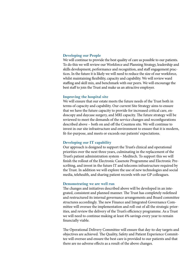#### **Developing our People**

We will continue to provide the best quality of care as possible to our patients. To do this we will review our Workforce and Planning Strategy, leadership and skills development, performance and recognition, and staff engagement practices. In the future it is likely we will need to reduce the size of our workforce, whilst maintaining flexibility, capacity and capability. We will review ward staffing and skill mix, and benchmark with our peers. We will encourage the best staff to join the Trust and make us an attractive employer.

#### **Improving the hospital site**

We will ensure that our estate meets the future needs of the Trust both in terms of capacity and capability. Our current Site Strategy aims to ensure that we have the future capacity to provide for increased critical care, endoscopy and daycase surgery, and MRI capacity. The future strategy will be reviewed to meet the demands of the service changes and reconfigurations described above – both on and off the Countess site. We will continue to invest in our site infrastructure and environment to ensure that it is modern, fit-for-purpose, and meets or exceeds our patients' expectations.

#### **Developing our IT capability**

Our approach is designed to support the Trust's clinical and operational priorities over the next three years, culminating in the replacement of the Trust's patient administration system – Meditech. To support this we will finish the rollout of the Electronic Casenote Programme and Electronic Prescribing, and invest in the future IT and telecoms infrastructure required by the Trust. In addition we will explore the use of new technologies and social media, telehealth, and sharing patient records with our GP colleagues.

#### **Demonstrating we are well run**

The changes and initiatives described above will be developed in an integrated, consistent and planned manner. The Trust has completely redefined and restructured its internal governance arrangements and Board committee structures accordingly. The new Finance and Integrated Governance Committee will oversee the implementation and roll-out of all the strategic priorities, and review the delivery of the Trust's efficiency programme. As a Trust we will need to continue making at least 4% savings every year to remain financially viable.

The Operational Delivery Committee will ensure that day-to-day targets and objectives are achieved. The Quality, Safety and Patient Experience Committee will oversee and ensure the best care is provided to our patients and that there are no adverse effects as a result of the above changes.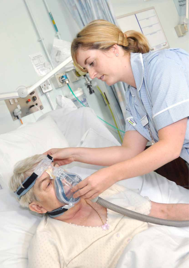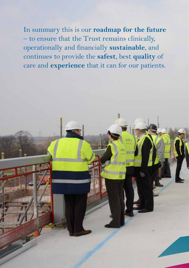In summary this is our **roadmap for the future** – to ensure that the Trust remains clinically, operationally and financially **sustainable**, and continues to provide the **safest**, best **quality** of care and **experience** that it can for our patients.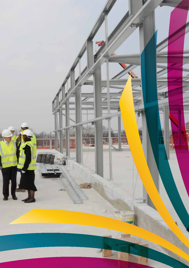